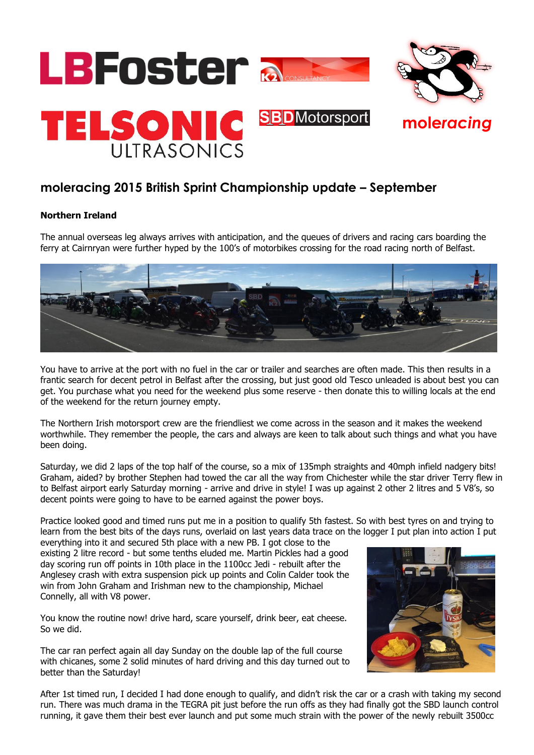

# **moleracing 2015 British Sprint Championship update – September**

## **Northern Ireland**

The annual overseas leg always arrives with anticipation, and the queues of drivers and racing cars boarding the ferry at Cairnryan were further hyped by the 100's of motorbikes crossing for the road racing north of Belfast.



You have to arrive at the port with no fuel in the car or trailer and searches are often made. This then results in a frantic search for decent petrol in Belfast after the crossing, but just good old Tesco unleaded is about best you can get. You purchase what you need for the weekend plus some reserve - then donate this to willing locals at the end of the weekend for the return journey empty.

The Northern Irish motorsport crew are the friendliest we come across in the season and it makes the weekend worthwhile. They remember the people, the cars and always are keen to talk about such things and what you have been doing.

Saturday, we did 2 laps of the top half of the course, so a mix of 135mph straights and 40mph infield nadgery bits! Graham, aided? by brother Stephen had towed the car all the way from Chichester while the star driver Terry flew in to Belfast airport early Saturday morning - arrive and drive in style! I was up against 2 other 2 litres and 5 V8's, so decent points were going to have to be earned against the power boys.

Practice looked good and timed runs put me in a position to qualify 5th fastest. So with best tyres on and trying to learn from the best bits of the days runs, overlaid on last years data trace on the logger I put plan into action I put

everything into it and secured 5th place with a new PB. I got close to the existing 2 litre record - but some tenths eluded me. Martin Pickles had a good day scoring run off points in 10th place in the 1100cc Jedi - rebuilt after the Anglesey crash with extra suspension pick up points and Colin Calder took the win from John Graham and Irishman new to the championship, Michael Connelly, all with V8 power.

You know the routine now! drive hard, scare yourself, drink beer, eat cheese. So we did.

The car ran perfect again all day Sunday on the double lap of the full course with chicanes, some 2 solid minutes of hard driving and this day turned out to better than the Saturday!



After 1st timed run, I decided I had done enough to qualify, and didn't risk the car or a crash with taking my second run. There was much drama in the TEGRA pit just before the run offs as they had finally got the SBD launch control running, it gave them their best ever launch and put some much strain with the power of the newly rebuilt 3500cc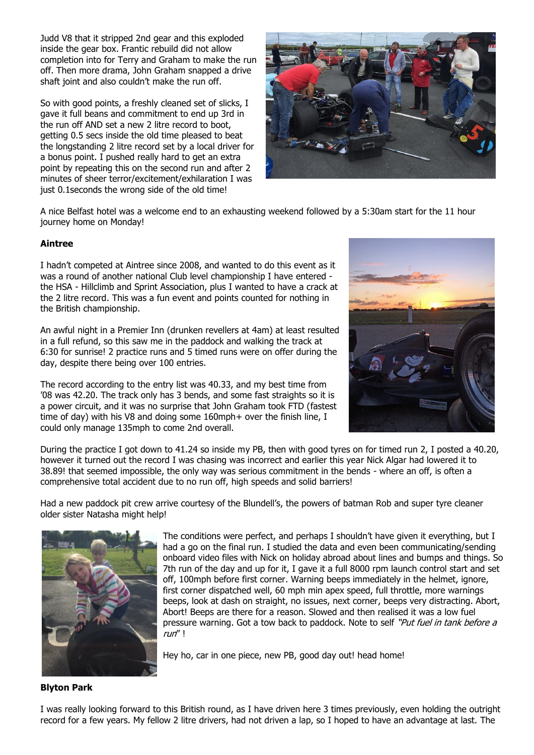Judd V8 that it stripped 2nd gear and this exploded inside the gear box. Frantic rebuild did not allow completion into for Terry and Graham to make the run off. Then more drama, John Graham snapped a drive shaft joint and also couldn't make the run off.

So with good points, a freshly cleaned set of slicks, I gave it full beans and commitment to end up 3rd in the run off AND set a new 2 litre record to boot, getting 0.5 secs inside the old time pleased to beat the longstanding 2 litre record set by a local driver for a bonus point. I pushed really hard to get an extra point by repeating this on the second run and after 2 minutes of sheer terror/excitement/exhilaration I was just 0.1seconds the wrong side of the old time!



A nice Belfast hotel was a welcome end to an exhausting weekend followed by a 5:30am start for the 11 hour journey home on Monday!

## **Aintree**

I hadn't competed at Aintree since 2008, and wanted to do this event as it was a round of another national Club level championship I have entered the HSA - Hillclimb and Sprint Association, plus I wanted to have a crack at the 2 litre record. This was a fun event and points counted for nothing in the British championship.

An awful night in a Premier Inn (drunken revellers at 4am) at least resulted in a full refund, so this saw me in the paddock and walking the track at 6:30 for sunrise! 2 practice runs and 5 timed runs were on offer during the day, despite there being over 100 entries.

The record according to the entry list was 40.33, and my best time from '08 was 42.20. The track only has 3 bends, and some fast straights so it is a power circuit, and it was no surprise that John Graham took FTD (fastest time of day) with his V8 and doing some 160mph+ over the finish line, I could only manage 135mph to come 2nd overall.



During the practice I got down to 41.24 so inside my PB, then with good tyres on for timed run 2, I posted a 40.20, however it turned out the record I was chasing was incorrect and earlier this year Nick Algar had lowered it to 38.89! that seemed impossible, the only way was serious commitment in the bends - where an off, is often a comprehensive total accident due to no run off, high speeds and solid barriers!

Had a new paddock pit crew arrive courtesy of the Blundell's, the powers of batman Rob and super tyre cleaner older sister Natasha might help!



The conditions were perfect, and perhaps I shouldn't have given it everything, but I had a go on the final run. I studied the data and even been communicating/sending onboard video files with Nick on holiday abroad about lines and bumps and things. So 7th run of the day and up for it, I gave it a full 8000 rpm launch control start and set off, 100mph before first corner. Warning beeps immediately in the helmet, ignore, first corner dispatched well, 60 mph min apex speed, full throttle, more warnings beeps, look at dash on straight, no issues, next corner, beeps very distracting. Abort, Abort! Beeps are there for a reason. Slowed and then realised it was a low fuel pressure warning. Got a tow back to paddock. Note to self "Put fuel in tank before a run" !

Hey ho, car in one piece, new PB, good day out! head home!

### **Blyton Park**

I was really looking forward to this British round, as I have driven here 3 times previously, even holding the outright record for a few years. My fellow 2 litre drivers, had not driven a lap, so I hoped to have an advantage at last. The